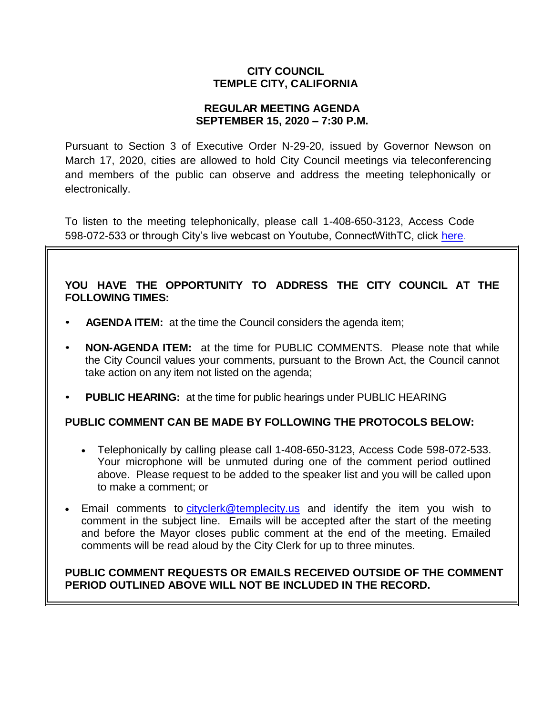## **CITY COUNCIL TEMPLE CITY, CALIFORNIA**

## **REGULAR MEETING AGENDA SEPTEMBER 15, 2020 – 7:30 P.M.**

Pursuant to Section 3 of Executive Order N-29-20, issued by Governor Newson on March 17, 2020, cities are allowed to hold City Council meetings via teleconferencing and members of the public can observe and address the meeting telephonically or electronically.

To listen to the meeting telephonically, please call 1-408-650-3123, Access Code 598-072-533 or through City's live webcast on Youtube, ConnectWithTC, click [here.](https://www.ci.temple-city.ca.us/516/Meeting-Webcast)

# **YOU HAVE THE OPPORTUNITY TO ADDRESS THE CITY COUNCIL AT THE FOLLOWING TIMES:**

- **AGENDA ITEM:** at the time the Council considers the agenda item;
- **NON-AGENDA ITEM:** at the time for PUBLIC COMMENTS. Please note that while the City Council values your comments, pursuant to the Brown Act, the Council cannot take action on any item not listed on the agenda;
- **PUBLIC HEARING:** at the time for public hearings under PUBLIC HEARING

# **PUBLIC COMMENT CAN BE MADE BY FOLLOWING THE PROTOCOLS BELOW:**

- Telephonically by calling please call 1-408-650-3123, Access Code 598-072-533. Your microphone will be unmuted during one of the comment period outlined above. Please request to be added to the speaker list and you will be called upon to make a comment; or
- Email comments to [cityclerk@templecity.us](mailto:cityclerk@templecity.us) and identify the item you wish to comment in the subject line. Emails will be accepted after the start of the meeting and before the Mayor closes public comment at the end of the meeting. Emailed comments will be read aloud by the City Clerk for up to three minutes.

## **PUBLIC COMMENT REQUESTS OR EMAILS RECEIVED OUTSIDE OF THE COMMENT PERIOD OUTLINED ABOVE WILL NOT BE INCLUDED IN THE RECORD.**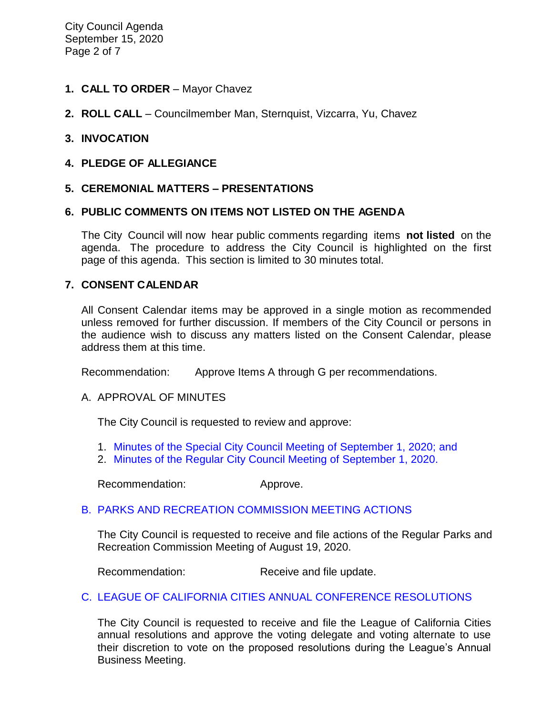City Council Agenda September 15, 2020 Page 2 of 7

- **1. CALL TO ORDER**  Mayor Chavez
- **2. ROLL CALL**  Councilmember Man, Sternquist, Vizcarra, Yu, Chavez

### **3. INVOCATION**

**4. PLEDGE OF ALLEGIANCE**

### **5. CEREMONIAL MATTERS – PRESENTATIONS**

### **6. PUBLIC COMMENTS ON ITEMS NOT LISTED ON THE AGENDA**

The City Council will now hear public comments regarding items **not listed** on the agenda. The procedure to address the City Council is highlighted on the first page of this agenda. This section is limited to 30 minutes total.

#### **7. CONSENT CALENDAR**

All Consent Calendar items may be approved in a single motion as recommended unless removed for further discussion. If members of the City Council or persons in the audience wish to discuss any matters listed on the Consent Calendar, please address them at this time.

Recommendation: Approve Items A through G per recommendations.

#### A. APPROVAL OF MINUTES

The City Council is requested to review and approve:

- 1. Minutes of the Special [City Council Meeting of](https://ca-templecity.civicplus.com/DocumentCenter/View/15076/7A1_CCM---2020-09-01-Special) September 1, 2020; and
- 2. [Minutes of the Regular City Council Meeting of September 1, 2020.](https://ca-templecity.civicplus.com/DocumentCenter/View/15066/7A2_CCM---2020-09-01)

Recommendation: Approve.

## B. PARKS AND RECREATION [COMMISSION MEETING ACTIONS](https://ca-templecity.civicplus.com/DocumentCenter/View/15067/7B_PRC-Regular-Meeting-Actions_-2020-08-19)

The City Council is requested to receive and file actions of the Regular Parks and Recreation Commission Meeting of August 19, 2020.

Recommendation: Receive and file update.

## C. [LEAGUE OF CALIFORNIA CITIES ANNUAL CONFERENCE RESOLUTIONS](https://ca-templecity.civicplus.com/DocumentCenter/View/15068/7C_Annual-League-of-California-Cities-Conference-Resolutions)

The City Council is requested to receive and file the League of California Cities annual resolutions and approve the voting delegate and voting alternate to use their discretion to vote on the proposed resolutions during the League's Annual Business Meeting.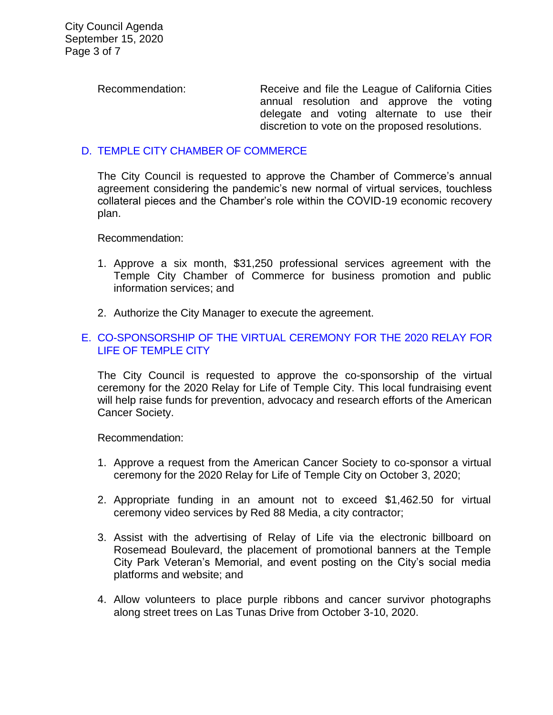Recommendation: Receive and file the League of California Cities

annual resolution and approve the voting delegate and voting alternate to use their discretion to vote on the proposed resolutions.

# D. [TEMPLE CITY CHAMBER OF COMMERCE](https://ca-templecity.civicplus.com/DocumentCenter/View/15069/7D_Temple-City-Chamber-of-Commerce)

The City Council is requested to approve the Chamber of Commerce's annual agreement considering the pandemic's new normal of virtual services, touchless collateral pieces and the Chamber's role within the COVID-19 economic recovery plan.

Recommendation:

- 1. Approve a six month, \$31,250 professional services agreement with the Temple City Chamber of Commerce for business promotion and public information services; and
- 2. Authorize the City Manager to execute the agreement.

## E. [CO-SPONSORSHIP OF THE VIRTUAL CEREMONY FOR THE 2020 RELAY FOR](https://ca-templecity.civicplus.com/DocumentCenter/View/15079/08-7E-Relay-for-Life-Co-Sponsorship)  [LIFE OF TEMPLE CITY](https://ca-templecity.civicplus.com/DocumentCenter/View/15079/08-7E-Relay-for-Life-Co-Sponsorship)

The City Council is requested to approve the co-sponsorship of the virtual ceremony for the 2020 Relay for Life of Temple City. This local fundraising event will help raise funds for prevention, advocacy and research efforts of the American Cancer Society.

Recommendation:

- 1. Approve a request from the American Cancer Society to co-sponsor a virtual ceremony for the 2020 Relay for Life of Temple City on October 3, 2020;
- 2. Appropriate funding in an amount not to exceed \$1,462.50 for virtual ceremony video services by Red 88 Media, a city contractor;
- 3. Assist with the advertising of Relay of Life via the electronic billboard on Rosemead Boulevard, the placement of promotional banners at the Temple City Park Veteran's Memorial, and event posting on the City's social media platforms and website; and
- 4. Allow volunteers to place purple ribbons and cancer survivor photographs along street trees on Las Tunas Drive from October 3-10, 2020.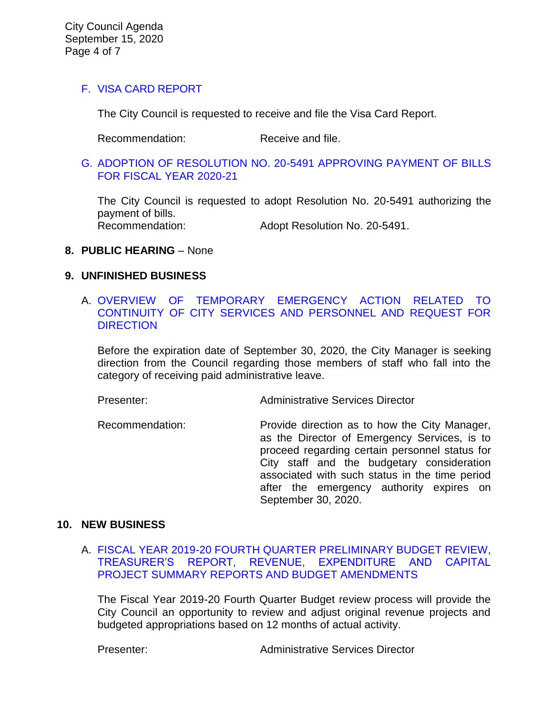## F. [VISA CARD REPORT](https://ca-templecity.civicplus.com/DocumentCenter/View/15070/7F_Visa-Card-Report)

The City Council is requested to receive and file the Visa Card Report.

Recommendation: Receive and file.

G. [ADOPTION OF RESOLUTION NO. 20-5491](https://ca-templecity.civicplus.com/DocumentCenter/View/15071/7G_CC-Warrant) APPROVING PAYMENT OF BILLS [FOR FISCAL YEAR 2020-21](https://ca-templecity.civicplus.com/DocumentCenter/View/15071/7G_CC-Warrant)

The City Council is requested to adopt Resolution No. 20-5491 authorizing the payment of bills. Recommendation: Adopt Resolution No. 20-5491.

### **8. PUBLIC HEARING** – None

#### **9. UNFINISHED BUSINESS**

## A. [OVERVIEW OF TEMPORARY EMERGENCY ACTION RELATED TO](https://ca-templecity.civicplus.com/DocumentCenter/View/15072/9A_COVID-19-Admin-Leave)  [CONTINUITY OF CITY SERVICES AND PERSONNEL AND REQUEST FOR](https://ca-templecity.civicplus.com/DocumentCenter/View/15072/9A_COVID-19-Admin-Leave)  **[DIRECTION](https://ca-templecity.civicplus.com/DocumentCenter/View/15072/9A_COVID-19-Admin-Leave)**

Before the expiration date of September 30, 2020, the City Manager is seeking direction from the Council regarding those members of staff who fall into the category of receiving paid administrative leave.

Presenter: Administrative Services Director

Recommendation: Provide direction as to how the City Manager, as the Director of Emergency Services, is to proceed regarding certain personnel status for City staff and the budgetary consideration associated with such status in the time period after the emergency authority expires on September 30, 2020.

## **10. NEW BUSINESS**

A. [FISCAL YEAR 2019-20 FOURTH QUARTER PRELIMINARY BUDGET REVIEW,](https://ca-templecity.civicplus.com/DocumentCenter/View/15073/10A_4th-Qtr-Preliminary-Financial-Update)  [TREASURER'S REPORT, REVENUE, EXPENDITURE AND CAPITAL](https://ca-templecity.civicplus.com/DocumentCenter/View/15073/10A_4th-Qtr-Preliminary-Financial-Update)  [PROJECT SUMMARY REPORTS AND BUDGET AMENDMENTS](https://ca-templecity.civicplus.com/DocumentCenter/View/15073/10A_4th-Qtr-Preliminary-Financial-Update)

The Fiscal Year 2019-20 Fourth Quarter Budget review process will provide the City Council an opportunity to review and adjust original revenue projects and budgeted appropriations based on 12 months of actual activity.

Presenter: Administrative Services Director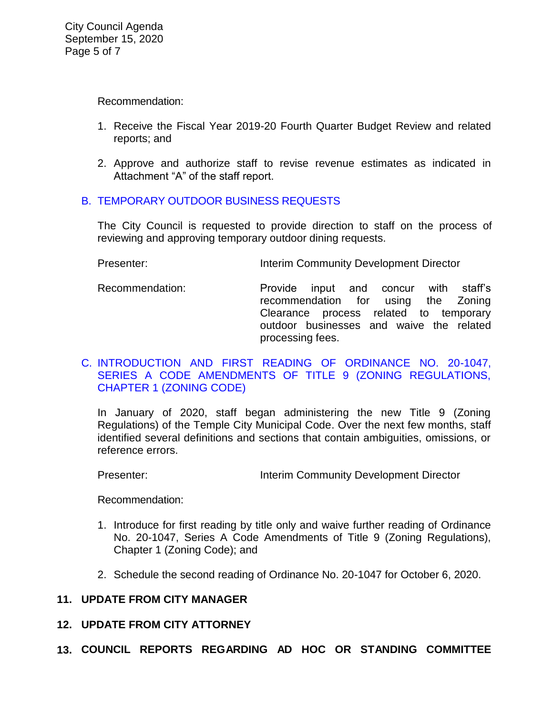Recommendation:

- 1. Receive the Fiscal Year 2019-20 Fourth Quarter Budget Review and related reports; and
- 2. Approve and authorize staff to revise revenue estimates as indicated in Attachment "A" of the staff report.

## B. [TEMPORARY OUTDOOR BUSINESS REQUESTS](https://ca-templecity.civicplus.com/DocumentCenter/View/15074/10B_Temporary-Outdoor-Business-Requests)

The City Council is requested to provide direction to staff on the process of reviewing and approving temporary outdoor dining requests.

Presenter: **Interim Community Development Director** 

Recommendation: Provide input and concur with staff's recommendation for using the Zoning Clearance process related to temporary outdoor businesses and waive the related processing fees.

### C. [INTRODUCTION AND FIRST READING OF ORDINANCE NO. 20-1047,](https://ca-templecity.civicplus.com/DocumentCenter/View/15080/14-10C-Series-A-Ordinance-Amendment)  [SERIES A CODE AMENDMENTS OF TITLE 9 \(ZONING REGULATIONS,](https://ca-templecity.civicplus.com/DocumentCenter/View/15080/14-10C-Series-A-Ordinance-Amendment)  [CHAPTER 1 \(ZONING CODE\)](https://ca-templecity.civicplus.com/DocumentCenter/View/15080/14-10C-Series-A-Ordinance-Amendment)

In January of 2020, staff began administering the new Title 9 (Zoning Regulations) of the Temple City Municipal Code. Over the next few months, staff identified several definitions and sections that contain ambiguities, omissions, or reference errors.

Presenter: **Interim Community Development Director** 

Recommendation:

- 1. Introduce for first reading by title only and waive further reading of Ordinance No. 20-1047, Series A Code Amendments of Title 9 (Zoning Regulations), Chapter 1 (Zoning Code); and
- 2. Schedule the second reading of Ordinance No. 20-1047 for October 6, 2020.

# **11. UPDATE FROM CITY MANAGER**

## **12. UPDATE FROM CITY ATTORNEY**

**13. COUNCIL REPORTS REGARDING AD HOC OR STANDING COMMITTEE**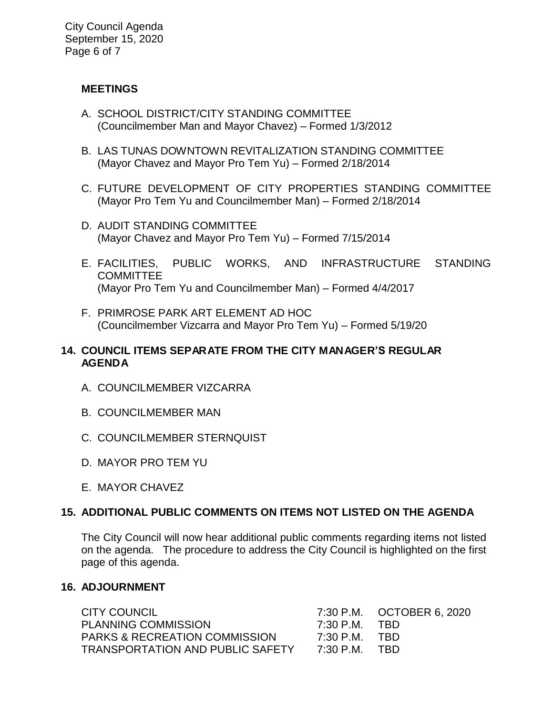## **MEETINGS**

- A. SCHOOL DISTRICT/CITY STANDING COMMITTEE (Councilmember Man and Mayor Chavez) – Formed 1/3/2012
- B. LAS TUNAS DOWNTOWN REVITALIZATION STANDING COMMITTEE (Mayor Chavez and Mayor Pro Tem Yu) – Formed 2/18/2014
- C. FUTURE DEVELOPMENT OF CITY PROPERTIES STANDING COMMITTEE (Mayor Pro Tem Yu and Councilmember Man) – Formed 2/18/2014
- D. AUDIT STANDING COMMITTEE (Mayor Chavez and Mayor Pro Tem Yu) – Formed 7/15/2014
- E. FACILITIES, PUBLIC WORKS, AND INFRASTRUCTURE STANDING **COMMITTEE** (Mayor Pro Tem Yu and Councilmember Man) – Formed 4/4/2017
- F. PRIMROSE PARK ART ELEMENT AD HOC (Councilmember Vizcarra and Mayor Pro Tem Yu) – Formed 5/19/20

## **14. COUNCIL ITEMS SEPARATE FROM THE CITY MANAGER'S REGULAR AGENDA**

- A. COUNCILMEMBER VIZCARRA
- B. COUNCILMEMBER MAN
- C. COUNCILMEMBER STERNQUIST
- D. MAYOR PRO TEM YU
- E. MAYOR CHAVEZ

# **15. ADDITIONAL PUBLIC COMMENTS ON ITEMS NOT LISTED ON THE AGENDA**

The City Council will now hear additional public comments regarding items not listed on the agenda. The procedure to address the City Council is highlighted on the first page of this agenda.

## **16. ADJOURNMENT**

CITY COUNCIL 7:30 P.M. OCTOBER 6, 2020 PLANNING COMMISSION 7:30 P.M. TBD PARKS & RECREATION COMMISSION 7:30 P.M. TBD TRANSPORTATION AND PUBLIC SAFETY 7:30 P.M. TBD